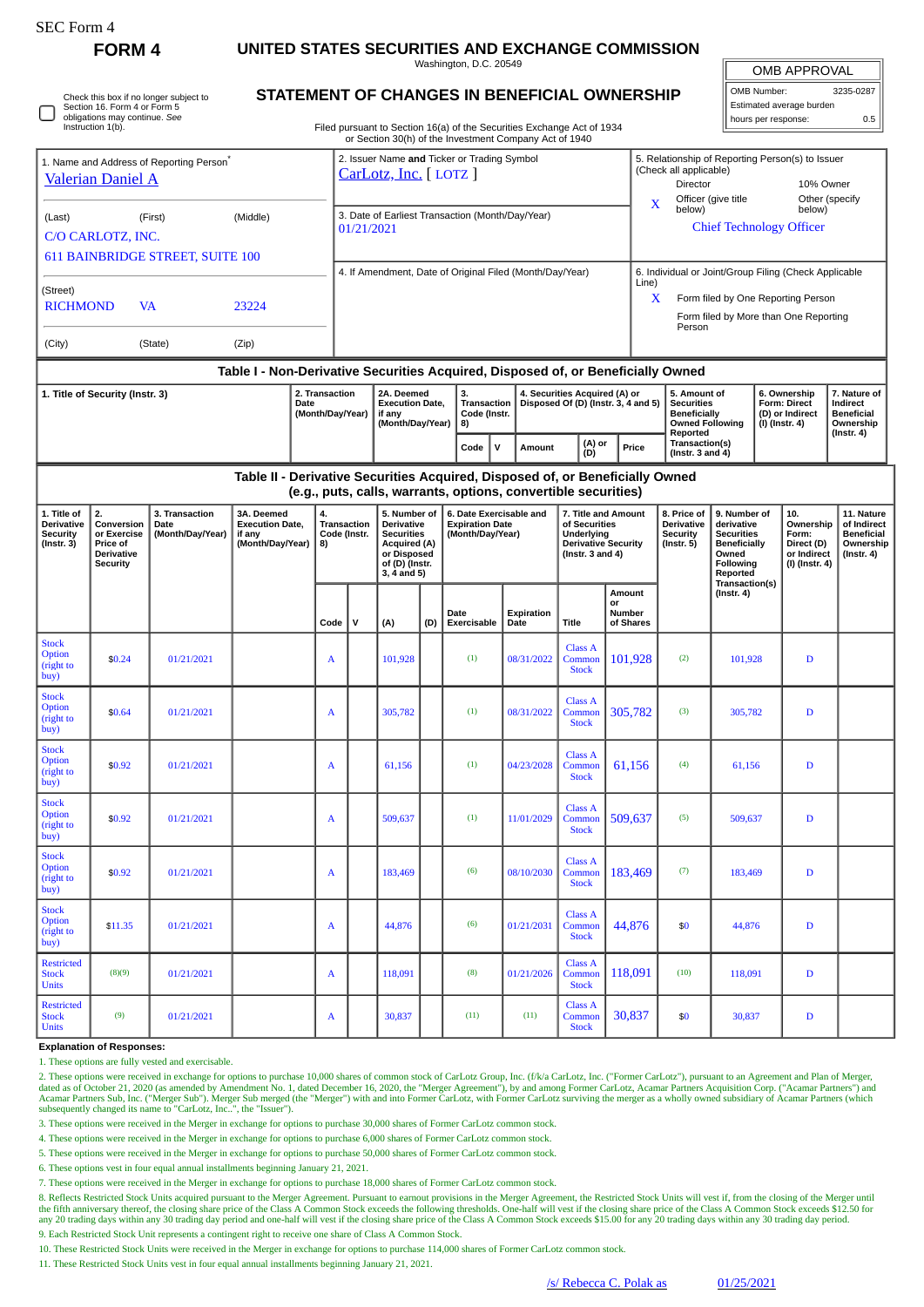| SEC Form 4                                                                                              |                                                                                                                            |            |                                                                                  |  |                                                                     |   |                                                                                                                               |     |                                                                                                                                  |      |                                                                      |                                                                                                           |                                                                                                     |                                                                                                |                                                                                                                                                     |                                                                                                           |                                                                          |                                                                                 |  |
|---------------------------------------------------------------------------------------------------------|----------------------------------------------------------------------------------------------------------------------------|------------|----------------------------------------------------------------------------------|--|---------------------------------------------------------------------|---|-------------------------------------------------------------------------------------------------------------------------------|-----|----------------------------------------------------------------------------------------------------------------------------------|------|----------------------------------------------------------------------|-----------------------------------------------------------------------------------------------------------|-----------------------------------------------------------------------------------------------------|------------------------------------------------------------------------------------------------|-----------------------------------------------------------------------------------------------------------------------------------------------------|-----------------------------------------------------------------------------------------------------------|--------------------------------------------------------------------------|---------------------------------------------------------------------------------|--|
| <b>FORM4</b>                                                                                            |                                                                                                                            |            | UNITED STATES SECURITIES AND EXCHANGE COMMISSION<br>Washington, D.C. 20549       |  |                                                                     |   |                                                                                                                               |     |                                                                                                                                  |      |                                                                      |                                                                                                           |                                                                                                     |                                                                                                |                                                                                                                                                     |                                                                                                           |                                                                          |                                                                                 |  |
| Check this box if no longer subject to<br>Section 16. Form 4 or Form 5<br>obligations may continue. See |                                                                                                                            |            | STATEMENT OF CHANGES IN BENEFICIAL OWNERSHIP                                     |  |                                                                     |   |                                                                                                                               |     |                                                                                                                                  |      |                                                                      |                                                                                                           |                                                                                                     |                                                                                                |                                                                                                                                                     | <b>OMB APPROVAL</b><br>3235-0287<br>OMB Number:<br>Estimated average burden<br>hours per response:<br>0.5 |                                                                          |                                                                                 |  |
|                                                                                                         | Instruction 1(b).                                                                                                          |            |                                                                                  |  |                                                                     |   |                                                                                                                               |     | Filed pursuant to Section 16(a) of the Securities Exchange Act of 1934<br>or Section 30(h) of the Investment Company Act of 1940 |      |                                                                      |                                                                                                           |                                                                                                     |                                                                                                |                                                                                                                                                     |                                                                                                           |                                                                          |                                                                                 |  |
| 1. Name and Address of Reporting Person <sup>7</sup><br><b>Valerian Daniel A</b>                        |                                                                                                                            |            |                                                                                  |  | 2. Issuer Name and Ticker or Trading Symbol<br>CarLotz, Inc. [LOTZ] |   |                                                                                                                               |     |                                                                                                                                  |      |                                                                      |                                                                                                           | (Check all applicable)<br>Director                                                                  |                                                                                                | 5. Relationship of Reporting Person(s) to Issuer<br>10% Owner<br>Officer (give title<br>Other (specify<br>below)<br><b>Chief Technology Officer</b> |                                                                                                           |                                                                          |                                                                                 |  |
| (Last)                                                                                                  | (First)<br>C/O CARLOTZ, INC.                                                                                               | (Middle)   |                                                                                  |  | 3. Date of Earliest Transaction (Month/Day/Year)<br>01/21/2021      |   |                                                                                                                               |     |                                                                                                                                  |      |                                                                      |                                                                                                           | X<br>below)                                                                                         |                                                                                                |                                                                                                                                                     |                                                                                                           |                                                                          |                                                                                 |  |
| <b>611 BAINBRIDGE STREET, SUITE 100</b>                                                                 |                                                                                                                            |            |                                                                                  |  | 4. If Amendment, Date of Original Filed (Month/Day/Year)            |   |                                                                                                                               |     |                                                                                                                                  |      |                                                                      |                                                                                                           |                                                                                                     | 6. Individual or Joint/Group Filing (Check Applicable                                          |                                                                                                                                                     |                                                                                                           |                                                                          |                                                                                 |  |
| (Street)<br><b>RICHMOND</b>                                                                             | VA                                                                                                                         | 23224      |                                                                                  |  |                                                                     |   |                                                                                                                               |     |                                                                                                                                  |      |                                                                      |                                                                                                           | Line)<br>Form filed by One Reporting Person<br>X<br>Form filed by More than One Reporting<br>Person |                                                                                                |                                                                                                                                                     |                                                                                                           |                                                                          |                                                                                 |  |
| (City)<br>(State)<br>(Zip)                                                                              |                                                                                                                            |            |                                                                                  |  |                                                                     |   |                                                                                                                               |     |                                                                                                                                  |      |                                                                      |                                                                                                           |                                                                                                     |                                                                                                |                                                                                                                                                     |                                                                                                           |                                                                          |                                                                                 |  |
|                                                                                                         |                                                                                                                            |            | Table I - Non-Derivative Securities Acquired, Disposed of, or Beneficially Owned |  |                                                                     |   |                                                                                                                               |     |                                                                                                                                  |      |                                                                      |                                                                                                           |                                                                                                     |                                                                                                |                                                                                                                                                     |                                                                                                           |                                                                          |                                                                                 |  |
| 1. Title of Security (Instr. 3)                                                                         |                                                                                                                            |            | 2. Transaction<br>Date                                                           |  | (Month/Day/Year)                                                    |   | 2A. Deemed<br><b>Execution Date,</b><br>if any<br>(Month/Day/Year)                                                            |     | 3.<br>Transaction<br>Code (Instr.<br>8)                                                                                          |      | 4. Securities Acquired (A) or<br>Disposed Of (D) (Instr. 3, 4 and 5) |                                                                                                           |                                                                                                     | 5. Amount of<br><b>Securities</b><br><b>Beneficially</b><br><b>Owned Following</b><br>Reported |                                                                                                                                                     |                                                                                                           | 6. Ownership<br><b>Form: Direct</b><br>(D) or Indirect<br>(I) (Instr. 4) | 7. Nature of<br>Indirect<br><b>Beneficial</b><br>Ownership<br>$($ Instr. 4 $)$  |  |
|                                                                                                         |                                                                                                                            |            |                                                                                  |  |                                                                     |   |                                                                                                                               |     | Code                                                                                                                             | V    | Amount                                                               | (A) or<br>(D)                                                                                             | Price                                                                                               | Transaction(s)<br>(Instr. $3$ and $4$ )                                                        |                                                                                                                                                     |                                                                                                           |                                                                          |                                                                                 |  |
|                                                                                                         |                                                                                                                            |            | Table II - Derivative Securities Acquired, Disposed of, or Beneficially Owned    |  |                                                                     |   |                                                                                                                               |     | (e.g., puts, calls, warrants, options, convertible securities)                                                                   |      |                                                                      |                                                                                                           |                                                                                                     |                                                                                                |                                                                                                                                                     |                                                                                                           |                                                                          |                                                                                 |  |
| 1. Title of<br><b>Derivative</b><br><b>Security</b><br>$($ Instr. 3 $)$                                 | 2.<br>3. Transaction<br>Conversion<br>Date<br>(Month/Day/Year)<br>or Exercise<br>Price of<br>Derivative<br><b>Security</b> |            | 3A. Deemed<br><b>Execution Date,</b><br>if any<br>(Month/Day/Year)               |  | 4.<br><b>Transaction</b><br>Code (Instr.<br>8)                      |   | 5. Number of<br><b>Derivative</b><br><b>Securities</b><br><b>Acquired (A)</b><br>or Disposed<br>of (D) (Instr.<br>3, 4 and 5) |     | 6. Date Exercisable and<br><b>Expiration Date</b><br>(Month/Day/Year)                                                            |      |                                                                      | 7. Title and Amount<br>of Securities<br>Underlying<br><b>Derivative Security</b><br>(Instr. $3$ and $4$ ) |                                                                                                     | 8. Price of<br>Derivative<br><b>Security</b><br>$($ Instr. 5 $)$                               | 9. Number of<br>derivative<br><b>Securities</b><br><b>Beneficially</b><br>Owned<br>Following<br>Reported<br>Transaction(s)                          |                                                                                                           | 10.<br>Ownership<br>Form:<br>Direct (D)<br>or Indirect<br>(I) (Instr. 4) | 11. Nature<br>of Indirect<br><b>Beneficial</b><br>Ownership<br>$($ Instr. 4 $)$ |  |
|                                                                                                         |                                                                                                                            |            |                                                                                  |  | Code                                                                | v | (A)                                                                                                                           | (D) | Date<br>Exercisable                                                                                                              | Date | Expiration                                                           | <b>Title</b>                                                                                              | Amount<br>or<br>Number<br>of Shares                                                                 |                                                                                                | $($ Instr. 4 $)$                                                                                                                                    |                                                                                                           |                                                                          |                                                                                 |  |
| <b>Stock</b><br>Option<br>(right to<br>buy)                                                             | \$0.24                                                                                                                     | 01/21/2021 |                                                                                  |  | A                                                                   |   | 101,928                                                                                                                       |     | (1)                                                                                                                              |      | 08/31/2022                                                           | Class A<br>Common<br><b>Stock</b>                                                                         | 101.928                                                                                             | (2)                                                                                            | 101,928                                                                                                                                             |                                                                                                           | $\mathbf D$                                                              |                                                                                 |  |
| <b>Stock</b><br>Option<br>(right to<br>buy)                                                             | \$0.64                                                                                                                     | 01/21/2021 |                                                                                  |  | A                                                                   |   | 305,782                                                                                                                       |     | (1)                                                                                                                              |      | 08/31/2022                                                           | Class A<br>Common<br><b>Stock</b>                                                                         | 305,782                                                                                             | (3)                                                                                            | 305,782                                                                                                                                             |                                                                                                           | $\mathbf D$                                                              |                                                                                 |  |
| <b>Stock</b><br><b>Option</b><br>(right to<br>buy)                                                      | \$0.92                                                                                                                     | 01/21/2021 |                                                                                  |  | A                                                                   |   | 61,156                                                                                                                        |     | (1)                                                                                                                              |      | 04/23/2028                                                           | Class A<br>Common<br><b>Stock</b>                                                                         | 61,156                                                                                              | (4)                                                                                            | 61,156                                                                                                                                              |                                                                                                           | $\mathbf D$                                                              |                                                                                 |  |
| <b>Stock</b><br>Option<br>(right to<br>buy)                                                             | \$0.92                                                                                                                     | 01/21/2021 |                                                                                  |  | A                                                                   |   | 509,637                                                                                                                       |     | (1)                                                                                                                              |      | 11/01/2029                                                           | Class A<br>Common<br><b>Stock</b>                                                                         | 509,637                                                                                             | (5)                                                                                            | 509,637                                                                                                                                             |                                                                                                           | $\mathbf D$                                                              |                                                                                 |  |
| <b>Stock</b><br>Option<br>(right to<br>buy)                                                             | \$0.92                                                                                                                     | 01/21/2021 |                                                                                  |  | $\mathbf{A}$                                                        |   | 183,469                                                                                                                       |     | (6)                                                                                                                              |      | 08/10/2030                                                           | Class A<br>Common<br><b>Stock</b>                                                                         | 183,469                                                                                             | (7)                                                                                            | 183,469                                                                                                                                             |                                                                                                           | $\mathbf D$                                                              |                                                                                 |  |
| <b>Stock</b><br><b>Option</b><br>(right to<br>buy)                                                      | \$11.35                                                                                                                    | 01/21/2021 |                                                                                  |  | A                                                                   |   | 44,876                                                                                                                        |     | (6)                                                                                                                              |      | 01/21/2031                                                           | Class A<br>Common<br><b>Stock</b>                                                                         | 44,876                                                                                              | \$0                                                                                            | 44,876                                                                                                                                              |                                                                                                           | $\mathbf D$                                                              |                                                                                 |  |
| <b>Restricted</b><br><b>Stock</b><br><b>Units</b>                                                       | (8)(9)                                                                                                                     | 01/21/2021 |                                                                                  |  | A                                                                   |   | 118,091                                                                                                                       |     | (8)                                                                                                                              |      | 01/21/2026                                                           | Class A<br>Common<br><b>Stock</b>                                                                         | 118,091                                                                                             | (10)                                                                                           | 118,091                                                                                                                                             |                                                                                                           | D                                                                        |                                                                                 |  |
| <b>Restricted</b><br><b>Stock</b><br><b>Units</b>                                                       | (9)                                                                                                                        | 01/21/2021 |                                                                                  |  | A                                                                   |   | 30,837                                                                                                                        |     | (11)                                                                                                                             |      | (11)                                                                 | Class A<br>Common<br><b>Stock</b>                                                                         | 30,837                                                                                              | \$0                                                                                            | 30,837                                                                                                                                              |                                                                                                           | $\mathbf D$                                                              |                                                                                 |  |

**Explanation of Responses:**

1. These options are fully vested and exercisable.

2. These options were received in exchange for options to purchase 10,000 shares of common stock of CarLotz Group, Inc. (f/k/a CarLotz, Inc. ("Former CarLotz"), pursuant to an Agreement and Plan of Merger,<br>dated as of Octo subsequently changed its name to "CarLotz, Inc..", the "Issuer").

3. These options were received in the Merger in exchange for options to purchase 30,000 shares of Former CarLotz common stock.

4. These options were received in the Merger in exchange for options to purchase 6,000 shares of Former CarLotz common stock.

5. These options were received in the Merger in exchange for options to purchase 50,000 shares of Former CarLotz common stock.

6. These options vest in four equal annual installments beginning January 21, 2021.

7. These options were received in the Merger in exchange for options to purchase 18,000 shares of Former CarLotz common stock.

8. Reflects Restricted Stock Units acquired pursuant to the Merger Agreement. Pursuant to earnout provisions in the Merger Agreement, the Restricted Stock Units will vest if, from the closing of the Merger until the fifth anniversary thereof, the closing share price of the Class A Common Stock exceeds the following thresholds. One-half will vest if the closing share price of the Class A Common Stock exceeds \$12.50 for<br>any 20 tradi 9. Each Restricted Stock Unit represents a contingent right to receive one share of Class A Common Stock.

10. These Restricted Stock Units were received in the Merger in exchange for options to purchase 114,000 shares of Former CarLotz common stock.

11. These Restricted Stock Units vest in four equal annual installments beginning January 21, 2021.